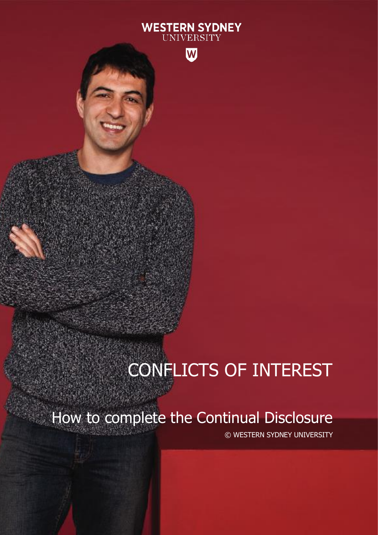### **WESTERN SYDNEY** UNIVERSITY



# CONFLICTS OF INTEREST

How to complete the Continual Disclosure

© WESTERN SYDNEY UNIVERSITY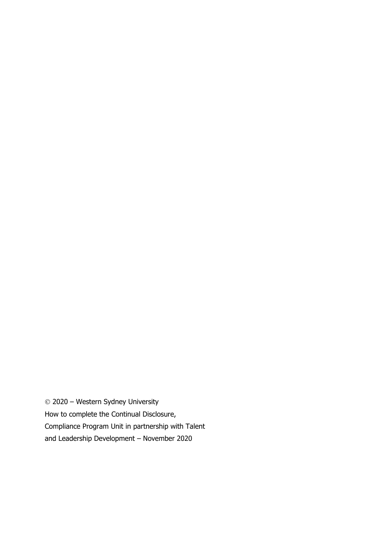© 2020 – Western Sydney University How to complete the Continual Disclosure, Compliance Program Unit in partnership with Talent and Leadership Development – November 2020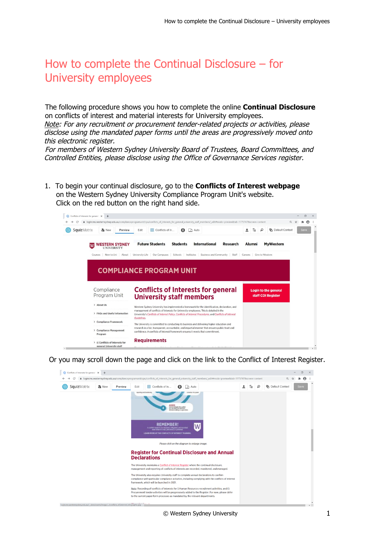### How to complete the Continual Disclosure – for University employees

The following procedure shows you how to complete the online **Continual Disclosure** on conflicts of interest and material interests for University employees.

Note: For any recruitment or procurement tender-related projects or activities, please disclose using the mandated paper forms until the areas are progressively moved onto this electronic register.

For members of Western Sydney University Board of Trustees, Board Committees, and Controlled Entities, please disclose using the Office of Governance Services register.

1. To begin your continual disclosure, go to the **Conflicts of Interest webpage** on the Western Sydney University Compliance Program Unit's website. Click on the red button on the right hand side.



Or you may scroll down the page and click on the link to the Conflict of Interest Register.

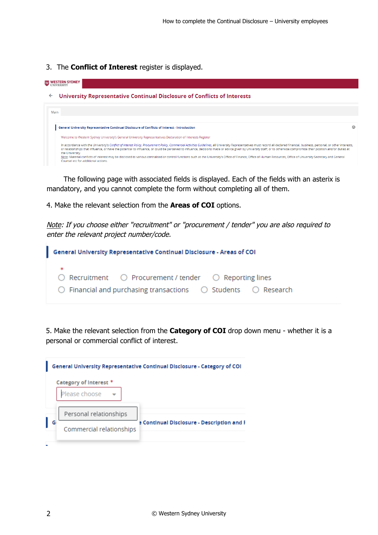#### 3. The **Conflict of Interest** register is displayed.

**WESTERN SYDNEY** 

## $\leftarrow$  University Representative Continual Disclosure of Conflicts of Interests Main



The following page with associated fields is displayed. Each of the fields with an asterix is mandatory, and you cannot complete the form without completing all of them.

4. Make the relevant selection from the **Areas of COI** options.

Note: If you choose either "recruitment" or "procurement / tender" you are also required to enter the relevant project number/code.

| <b>General University Representative Continual Disclosure - Areas of COI</b>                                                                                                |  |
|-----------------------------------------------------------------------------------------------------------------------------------------------------------------------------|--|
| - *<br>$\bigcirc$ Recruitment $\bigcirc$ Procurement / tender $\bigcirc$ Reporting lines<br>$\circ$ Financial and purchasing transactions $\circ$ Students $\circ$ Research |  |

5. Make the relevant selection from the **Category of COI** drop down menu - whether it is a personal or commercial conflict of interest.

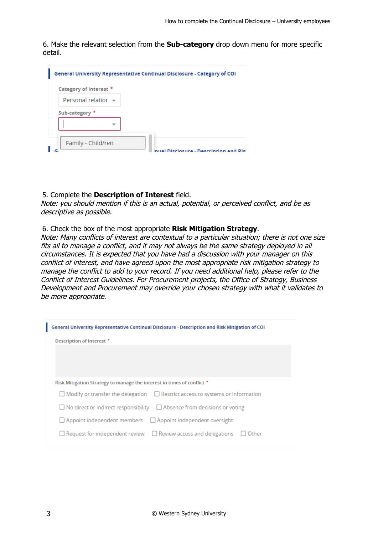6. Make the relevant selection from the **Sub-category** drop down menu for more specific detail.

| Category of Interest *   |  |
|--------------------------|--|
| Personal relatior $\sim$ |  |
| Sub-category *           |  |
|                          |  |
|                          |  |

### 5. Complete the **Description of Interest** field.

Note: you should mention if this is an actual, potential, or perceived conflict, and be as descriptive as possible.

### 6. Check the box of the most appropriate **Risk Mitigation Strategy**.

Note: Many conflicts of interest are contextual to a particular situation; there is not one size fits all to manage a conflict, and it may not always be the same strategy deployed in all circumstances. It is expected that you have had a discussion with your manager on this conflict of interest, and have agreed upon the most appropriate risk mitigation strategy to manage the conflict to add to your record. If you need additional help, please refer to the Conflict of Interest Guidelines. For Procurement projects, the Office of Strategy, Business Development and Procurement may override your chosen strategy with what it validates to be more appropriate.

| General University Representative Continual Disclosure - Description and Risk Mitigation of COI |
|-------------------------------------------------------------------------------------------------|
| Description of Interest *                                                                       |
|                                                                                                 |
|                                                                                                 |
|                                                                                                 |
| Risk Mitigation Strategy to manage the interest in times of conflict *                          |
| $\Box$ Modify or transfer the delegation $\Box$ Restrict access to systems or information       |
| $\Box$ No direct or indirect responsibility $\Box$ Absence from decisions or voting             |
| $\Box$ Appoint independent members $\Box$ Appoint independent oversight                         |
| $\Box$ Request for independent review $\Box$ Review access and delegations<br>Other             |